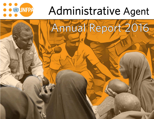

# Administrative Agent

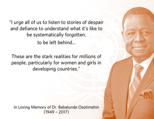"I urge all of us to listen to stories of despair and defiance to understand what it's like to be systematically forgotten, to be left behind...

These are the stark realities for millions of people, particularly for women and girls in developing countries."

In Loving Memory of Dr. Babatunde Osotimehin (1949 – 2017)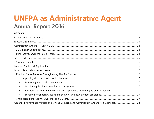# **UNFPA as Administrative Agent Annual Report 2016**

### Contents

| ii.  |  |
|------|--|
| iii. |  |
| iv.  |  |
| V.   |  |
|      |  |
|      |  |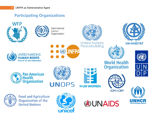# **Participating Organizations**

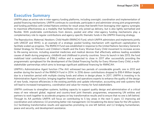# **Executive Summary**

UNFPA plays an active role in inter-agency funding platforms, including oversight, coordination and implementation of pooled financing mechanisms. UNFPA continues to coordinate, participate in and administer strong joint programmatic and funding portfolios with United Nations entities for result areas that benefit from leveraging inter-agency synergies to maximize effectiveness as a modality that facilitates not only joined-up delivery, but is also lightly earmarked and flexible. With predictable contributions from donors, pooled and other inter-agency funding mechanisms play a complementary role to regular contributions and agency-specific thematic funds in the UNFPA financing strategy.

The Reproductive, Maternal, Newborn, Child Health (RMNCH) Fund, which UNFPA administers and implements jointly with UNICEF and WHO, is an example of a strategic pooled funding mechanism with significant capitalization to facilitate scaled-up progress. The RMNCH Fund was established in response to the United Nations Secretary-General's Global Strategy for Women's and Children's Health and the Every Woman Every Child movement to increase access to life-saving services, including essential medicines and medical devices that effectively address leading avoidable causes of death during pregnancy, childbirth and childhood in priority countries. Since its launch in late 2013, the fund mobilized total contributions of \$186.2 million and is expected to close in 2017 after successfully providing the programmatic springboard for the development of the Global Financing Facility for Every Woman Every Child, a multistakeholder partnerships which aims to leverage significant additional financing for RMNCAH.

UNFPA's Administrative Agent function (The AA) witnessed two periods of considerable growth, one in 2012 and another during the launch of the RMNCH Fund in 2014. In 2016 donor contributions dropped to \$18.4 Million largely due to a transition period with multiple closing funds and others in design phase. In 2017, UNFPA is investing in its Administrative Agent function, bringing together thematic and operations experts to enhance the quality of the design of new funds, improve efficiencies in the existing portfolio and update information, accounting and web systems that will lead to increased transparency, coordination and value-for-money for fund stakeholders.

UNFPA continues to strengthen systems, building capacity to support quality design and administration of a critical mass of new relevant global, regional and country-level joint thematic programmes, empowering UN entities and partners to work together to accelerate progress on key transformative results and to ensure that no one is left behind. Through its AA portfolio UNFPA will focus on contributing to 5 key areas in the next 5 years: (i) improving aid coordination and coherence; (ii) promoting better risk management; (iii) broadening the donor base for the UN system; (iv) facilitating transformative results and approaches promoting no one left behind; and (v) bridging humanitarian, peace and security, and development assistance.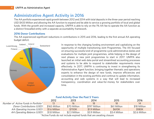# **Administrative Agent Activity in 2016**

The AA portfolio experienced rapid growth between 2012 and 2014 with total deposits in the three-year period reaching USD \$433 Million and allowing the AA function to expand and be able to service a growing portfolio of local and global funds. With the growth and increased capacity, UNFPA is able to rely on the 1% AA fee to operate the AA function as a distinct firewalled entity with a separate accountability framework.

### **2016 Donor Contributions**

The AA experienced significant reductions in contributions in 2015 and 2016, leading to the first annual AA operating budget deficit.



In response to the changing funding environment and capitalizing on the opportunity of multiple transitioning Joint Programmes, The AA focused on ensuring successful end-of-programme cycle administrative duties and evaluations for multiple joint programmes, while helping in the design of next phases or new joint programmes to start in 2017. UNFPA also launched an initial web data portal and streamlined accounting processes and systems to be able to respond to stakeholder requirements more effectively. In 2017, UNFPA is continuing to invest in strengthening its Administrative Agent function, bringing together thematic and operations experts to enhance the design of new funds, improve efficiencies and consolidation in the existing portfolio and continue to update information, accounting and web systems in a way that will lead to increased transparency, coordination and value-for-money for stakeholders over time.

### **Fund Activity Over the Past 5 Years**

|                                      | 2012          | 2013          | 2014          | 2015          | 2016          |
|--------------------------------------|---------------|---------------|---------------|---------------|---------------|
| Number of Active Funds in Portfolio* |               | 16            | 18            | 18            | 14            |
| Donor Contributions (USD)            | \$165 Million | \$70 Million  | \$197 Million | \$61 Million  | \$18 Million  |
| AA Operating Income (USD)            | \$1.6 Million | \$700K        | \$1.9 Million | \$610K        | \$180K        |
| AA Operating Balance (USD)           | \$1.8 Million | \$2.3 Million | \$3.9 Million | \$3.4 Million | \$2.6 Million |

\*Active Funds do not include expired funds that are awaiting closure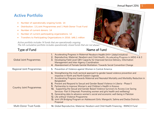# **Active Portfolio**

- $\bullet$ Number of operationally ongoing funds: 14
- $\bullet$ Distribution: 13 Joint Programmes and 1 Multi-Donor Trust Fund
- $\bullet$ Number of current donors: 14
- $\bullet$ Number of current participating organizations: 12
- $\bullet$ Transfers to Participating Organizations in 2016: \$46.1 million

Active portfolio includes 14 funds that are operationally ongoing. The AA cumulative portfolio includes oparationally closed funds that are not shown

### Type of Fund Name of Fund

| <b>Global Joint Programmes</b>  | 1. Accelerating Progress in Maternal Newborn Health (H4+ Global Initiative)<br>2. Reproductive, Maternal, Newborn and Child Health-Accelerating Progress in MDG 4 & 5<br>3. Developing Field-Level GBV Capacity for Improved Service Delivery, Information<br>Management and Inter-Agency Coordination<br>4. Abandonment of Female Genital Mutilation: Towards Social Convention Change                                                                                                                                                                                                                                                                                                                                                                                                                           |
|---------------------------------|-------------------------------------------------------------------------------------------------------------------------------------------------------------------------------------------------------------------------------------------------------------------------------------------------------------------------------------------------------------------------------------------------------------------------------------------------------------------------------------------------------------------------------------------------------------------------------------------------------------------------------------------------------------------------------------------------------------------------------------------------------------------------------------------------------------------|
| Regional Joint Programmes       | 5. Prevention of Violence against Women in Central America                                                                                                                                                                                                                                                                                                                                                                                                                                                                                                                                                                                                                                                                                                                                                        |
| <b>Country Joint Programmes</b> | 6. Strengthening the multi sectoral approach to gender based violence prevention and<br>response in North and North Eastern Uganda<br>7. Accelerating Progress towards Maternal and Neonatal Mortality and Morbidity Reduction in<br>Bangladesh<br>8. Prevent and Respond to Sexual and Gender Based Violence in Liberia - Phase II<br>9. Partnership to improve Women's and Children's Health in Kosovo<br>10. Supporting the Sexual and Gender Based Violence Survivors to Access Live Saving<br>Services- Part II (Heymati: Promoting women and girls health and wellbeing)<br>11. Generating data to advance women's social and economic well-being in Pakistan<br>12. Life without Violence Programme<br>13. Joint UN Bridging Program on Adolescent Girls: Mangochi, Salima and Dedza Districts<br>Proposal |
| <b>Multi-Donor Trust Funds</b>  | 14. Global Reproductive, Maternal, Newborn and Child Health Financing - RMNCH Fund                                                                                                                                                                                                                                                                                                                                                                                                                                                                                                                                                                                                                                                                                                                                |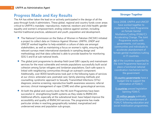# **Progress Made and Key Results**

The AA has either taken the lead on or actively participated in the design of all the pass-through funds it administers. These global, regional and country funds cover areas critical to UNFPA's mandate –reproductive, maternal, newborn and child health; gender equality and women's empowerment, ending violence against women, including harmful traditional practices, adolescent and youth, population and development.

- $\bullet$  The National Commission on the Status of Women in Pakistan (NCSW) initiated a project to collect data on Violence Against Women. UNFPA, UNDP and UNICEF worked together to help establish a culture of data use amongst stakeholders, as well as maintaining a focus on women's rights, ensuring that relevant surveys meet international standards in sampling design and methodology and that data collected is able to provide baseline for monitoring SDG 5 and 8 at sub-national levels.
- $\bullet$  The global joint programme to develop field-Level GBV capacity and mainstream services for the most vulnerable and remote populations successfully built social cohesion among Syrian refugees and Jordanian populations. Each safe space is linked with neighboring communities through an outreach component. Additionally, over 8000 beneficiaries took part in the following types of services at our clinics: antenatal care; postnatal care; family planning methods and counselling; syndromic approach to Sexually Transmitted Infections (STIs) diagnosis; anemia screening; reproductive health awareness sessions; referral services; clinical management of rape (CMR) and other gynecological services.
- 0 At both the global and country level, the H6 Joint Programmes have been successful in strengthening health systems as they relate to RMNCAH. Additional efforts, especially at the subnational level, have helped improve the accessibility and quality of RMNCAH services. The programme has made particular strides in reaching geographically isolated, marginalized and underserved areas and population sub-groups.

### **Stronger To gether**

Since 2008, UNFPA and UNICEF have worked together to implement the Joint Programme on Female Genital Mutilation/Cutting (FGM/C): Accelerating Change. The Joint Programme works with governments, civil society, communities and individuals to accelerate abandonment of female genital mutilation/cutting in 17 countries.

All of the countries supported by the Joint Programme have put in place a functional national coordination mechanism led by the government

13 country governments have a budget line to support the elimination of FGM/C

5 countries passed legislation banning FGM/C

25 million people publically declared the abandonment of FGM/C following education and social mobilization programmes.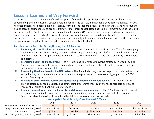# **Lessons Learned and Way Forward**

In response to the rapid evolution of the development finance landscape, UN pooled financing mechanisms are expected to play an increasingly strategic role in financing the post-2015 sustainable development agenda. The AA has been successful in coordinating interagency work in areas that are closely tied to its mandate and has proven to be a successful springboard and scalable framework for larger consolidated financing instruments such as the Global Financing Facilty (World Bank). In order to continue to position UNFPA as a viable steward and manager of joint programes and related funds, UNFPA must continue to strenghten systems, build capacity and be able to attract a critical mass of new relevant global, regional and country-level joint thematic funds that empower the UN system and partners to work together to ensure that no woman or child is left behind.

### **Five Key Focus Areas for Strengthening the AA Function**

- i. **Improving aid coordination and coherence** – together with other AAs in the UN system, The AA isleveraging the International Aid Transparency Initiative and working on enhancing data platforms that will support better communication and transparency between donors, steering committees, participating agencies, stakeholders and partners.
- ii. **Promoting better risk management** – The AA is looking to leverage innovative strategies in Enterprise Risk Management, working with partners to quickly assess and adapt interventions to address known challenges and improve joint programme delivery.
- iii. **Broadening the donor base for the UN system** – The AA will also begin to look to public-private partnerships as the funding landscape continues to evolve and as the private sector becomes a bigger part of the 2030 Agenda financing landscape.
- iv.**Facilitating transformative results and approaches promoting no one left behind - The AA will start to** provide better guidance on establishing strong joint programme theories of change to facilitate delivery of measurable results and optimal value for money.
- v. **Bridging humanitarian, peace and security, and development assistance** – The AA will continue to support integrated joint action bridging the development, humanitarian and peace nexus and will strive to prioritize Funds that allow for services to adapt and be delivered across a variety of contexts.

|                                        | 2017          | 2018          | 2019           | 2020          | 2021          |
|----------------------------------------|---------------|---------------|----------------|---------------|---------------|
| Proj. Number of Funds in Portfolio     | 10            |               | 20             | 25            | 25            |
| Proj. Donor Contributions (USD)        | \$75 Million  | \$100 Million | \$125 Million  | \$150 Million | \$200 Million |
| <b>Est. AA Operating Income (USD)</b>  | \$750K        | \$1.0Million  | \$1.25 Million | \$1.5 Million | \$2.0 Million |
| <b>Est. AA Operating Balance (USD)</b> | \$1.9 Million | \$1.7 Million | \$1.8 Million  | \$2 Million   | \$2.8 Million |

### **Anticipated Fund Activity Over the Next 5 Years**